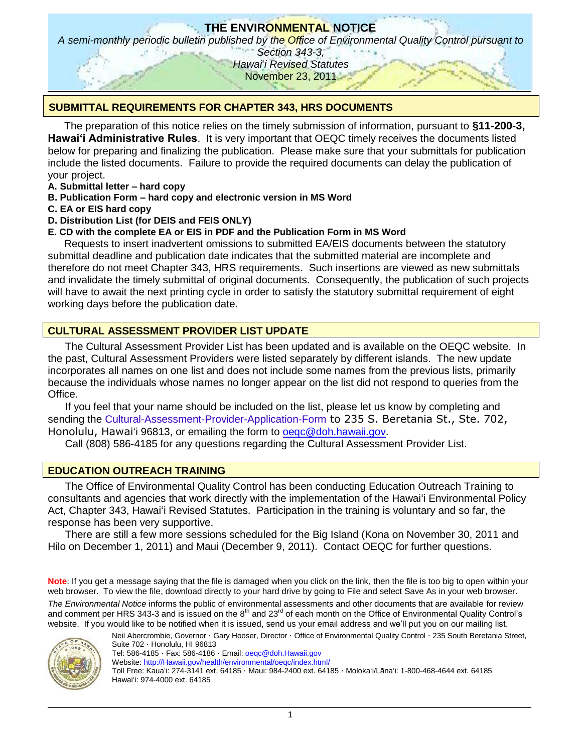# **THE ENVIRONMENTAL NOTICE**

*A semi-monthly periodic bulletin published by the Office of Environmental Quality Control pursuant to* 

*Section 343-3, Hawai*"*i Revised Statutes* November 23, 2011

### **SUBMITTAL REQUIREMENTS FOR CHAPTER 343, HRS DOCUMENTS**

The preparation of this notice relies on the timely submission of information, pursuant to **§11-200-3, Hawaiʻi Administrative Rules**. It is very important that OEQC timely receives the documents listed below for preparing and finalizing the publication. Please make sure that your submittals for publication include the listed documents. Failure to provide the required documents can delay the publication of your project.

- **A. Submittal letter – hard copy**
- **B. Publication Form – hard copy and electronic version in MS Word**
- **C. EA or EIS hard copy**
- **D. Distribution List (for DEIS and FEIS ONLY)**
- **E. CD with the complete EA or EIS in PDF and the Publication Form in MS Word**

Requests to insert inadvertent omissions to submitted EA/EIS documents between the statutory submittal deadline and publication date indicates that the submitted material are incomplete and therefore do not meet Chapter 343, HRS requirements. Such insertions are viewed as new submittals and invalidate the timely submittal of original documents. Consequently, the publication of such projects will have to await the next printing cycle in order to satisfy the statutory submittal requirement of eight working days before the publication date.

### **CULTURAL ASSESSMENT PROVIDER LIST UPDATE**

The Cultural Assessment Provider List has been updated and is available on the OEQC website. In the past, Cultural Assessment Providers were listed separately by different islands. The new update incorporates all names on one list and does not include some names from the previous lists, primarily because the individuals whose names no longer appear on the list did not respond to queries from the Office.

If you feel that your name should be included on the list, please let us know by completing and sending the [Cultural-Assessment-Provider-Application-Form](http://oeqc.doh.hawaii.gov/Shared%20Documents/Environmental_Assessment_PrepKit/Cultural_Impact_Assessments/Cultural-Assessment-Provider-Application-Form.doc) to 235 S. Beretania St., Ste. 702, Honolulu, Hawaiʻi 96813, or emailing the form to [oeqc@doh.hawaii.gov.](mailto:oeqc@doh.hawaii.gov)

Call (808) 586-4185 for any questions regarding the Cultural Assessment Provider List.

### **EDUCATION OUTREACH TRAINING**

The Office of Environmental Quality Control has been conducting Education Outreach Training to consultants and agencies that work directly with the implementation of the Hawaiʻi Environmental Policy Act, Chapter 343, Hawaiʻi Revised Statutes. Participation in the training is voluntary and so far, the response has been very supportive.

There are still a few more sessions scheduled for the Big Island (Kona on November 30, 2011 and Hilo on December 1, 2011) and Maui (December 9, 2011). Contact OEQC for further questions.

**Note**: If you get a message saying that the file is damaged when you click on the link, then the file is too big to open within your web browser. To view the file, download directly to your hard drive by going to File and select Save As in your web browser. *The Environmental Notice* informs the public of environmental assessments and other documents that are available for review and comment per HRS 343-3 and is issued on the  $8<sup>th</sup>$  and 23<sup>rd</sup> of each month on the Office of Environmental Quality Control's website. If you would like to be notified when it is issued, send us your email address and we"ll put you on our mailing list.



Neil Abercrombie, Governor · Gary Hooser, Director · Office of Environmental Quality Control · 235 South Beretania Street, Suite 702 · Honolulu, HI 96813

Tel: 586-4185 · Fax: 586-4186 · Email: oegc@doh.Hawaii.gov

Website: [http://Hawaii.gov/health/environmental/oeqc/index.html/](http://hawaii.gov/health/environmental/oeqc/index.html/)

Toll Free: Kauaʻi: 274-3141 ext. 64185 · Maui: 984-2400 ext. 64185 · Molokaʻi/Lānaʻi: 1-800-468-4644 ext. 64185 Hawaiʻi: 974-4000 ext. 64185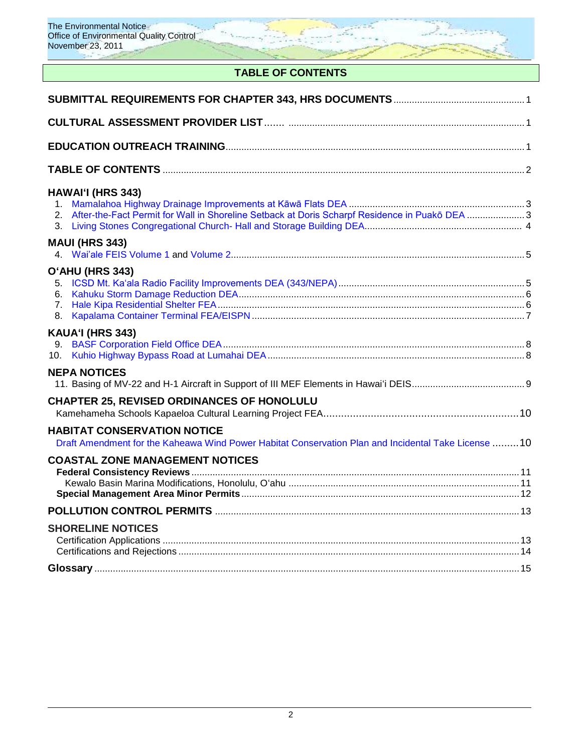

## **TABLE OF CONTENTS**

| <b>HAWAI'I (HRS 343)</b><br>After-the-Fact Permit for Wall in Shoreline Setback at Doris Scharpf Residence in Puakō DEA 3                 |  |
|-------------------------------------------------------------------------------------------------------------------------------------------|--|
| <b>MAUI (HRS 343)</b>                                                                                                                     |  |
| O'AHU (HRS 343)                                                                                                                           |  |
| KAUA'I (HRS 343)<br>10.                                                                                                                   |  |
| <b>NEPA NOTICES</b>                                                                                                                       |  |
| <b>CHAPTER 25, REVISED ORDINANCES OF HONOLULU</b>                                                                                         |  |
| <b>HABITAT CONSERVATION NOTICE</b><br>Draft Amendment for the Kaheawa Wind Power Habitat Conservation Plan and Incidental Take License 10 |  |
| <b>COASTAL ZONE MANAGEMENT NOTICES</b>                                                                                                    |  |
|                                                                                                                                           |  |
| <b>SHORELINE NOTICES</b>                                                                                                                  |  |
|                                                                                                                                           |  |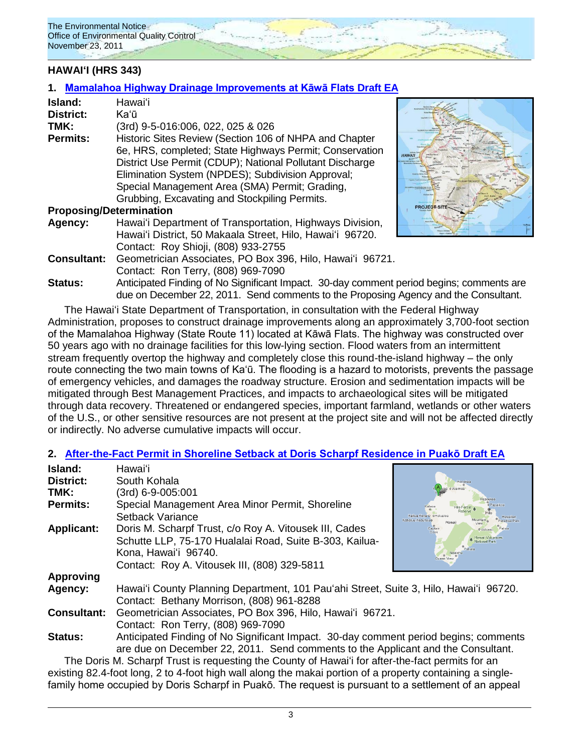### **HAWAIʻI (HRS 343)**

#### **1. [Mamalahoa Highway Drainage Improvements at Kāwā Flats](http://oeqc.doh.hawaii.gov/Shared%20Documents/EA_and_EIS_Online_Library/Hawaii/2010s/2011-11-23-DEA-Mamalahoa-Highway-Drainage.pdf) Draft EA**

| Island:                        | Hawai'i                                                                                  |                  |
|--------------------------------|------------------------------------------------------------------------------------------|------------------|
|                                |                                                                                          |                  |
| <b>District:</b>               | Kaʻū                                                                                     |                  |
| TMK:                           | (3rd) 9-5-016:006, 022, 025 & 026                                                        |                  |
| <b>Permits:</b>                | Historic Sites Review (Section 106 of NHPA and Chapter                                   |                  |
|                                | 6e, HRS, completed; State Highways Permit; Conservation                                  |                  |
|                                | District Use Permit (CDUP); National Pollutant Discharge                                 |                  |
|                                | Elimination System (NPDES); Subdivision Approval;                                        |                  |
|                                | Special Management Area (SMA) Permit; Grading,                                           |                  |
|                                | Grubbing, Excavating and Stockpiling Permits.                                            |                  |
| <b>Proposing/Determination</b> |                                                                                          | <b>ROJECT SI</b> |
| Agency:                        | Hawai'i Department of Transportation, Highways Division,                                 |                  |
|                                | Hawai'i District, 50 Makaala Street, Hilo, Hawai'i 96720.                                |                  |
|                                | Contact: Roy Shioji, (808) 933-2755                                                      |                  |
| <b>Consultant:</b>             | Geometrician Associates, PO Box 396, Hilo, Hawai'i 96721.                                |                  |
|                                | Contact: Ron Terry, (808) 969-7090                                                       |                  |
| <b>Status:</b>                 | Anticipated Finding of No Significant Impact. 30-day comment period begins; comments are |                  |
|                                | due on December 22, 2011. Send comments to the Proposing Agency and the Consultant.      |                  |

The Hawaiʻi State Department of Transportation, in consultation with the Federal Highway Administration, proposes to construct drainage improvements along an approximately 3,700-foot section of the Mamalahoa Highway (State Route 11) located at Kāwā Flats. The highway was constructed over 50 years ago with no drainage facilities for this low-lying section. Flood waters from an intermittent stream frequently overtop the highway and completely close this round-the-island highway – the only route connecting the two main towns of Ka'ū. The flooding is a hazard to motorists, prevents the passage of emergency vehicles, and damages the roadway structure. Erosion and sedimentation impacts will be mitigated through Best Management Practices, and impacts to archaeological sites will be mitigated through data recovery. Threatened or endangered species, important farmland, wetlands or other waters of the U.S., or other sensitive resources are not present at the project site and will not be affected directly or indirectly. No adverse cumulative impacts will occur.

comments are

#### **2. [After-the-Fact Permit in Shoreline Setback at Doris Scharpf Residence in Puakō](http://oeqc.doh.hawaii.gov/Shared%20Documents/EA_and_EIS_Online_Library/Hawaii/2010s/2011-11-23-DEA-Scharpf-Residence-Wall.pdf) Draft EA**

| Island:            | Hawaiʻi                                                                                          |                 |
|--------------------|--------------------------------------------------------------------------------------------------|-----------------|
| <b>District:</b>   | South Kohala                                                                                     |                 |
| TMK:               | (3rd) 6-9-005:001                                                                                |                 |
| <b>Permits:</b>    | Special Management Area Minor Permit, Shoreline                                                  |                 |
|                    | Setback Variance                                                                                 |                 |
| <b>Applicant:</b>  | Doris M. Scharpf Trust, c/o Roy A. Vitousek III, Cades                                           | Captair<br>Cool |
|                    | Schutte LLP, 75-170 Hualalai Road, Suite B-303, Kailua-                                          |                 |
|                    | Kona, Hawai'i 96740.                                                                             |                 |
|                    | Contact: Roy A. Vitousek III, (808) 329-5811                                                     |                 |
| <b>Approving</b>   |                                                                                                  |                 |
| Agency:            | Hawai'i County Planning Department, 101 Pau'ahi Street, Suite 3, Hilo, Hawai'i 96720.            |                 |
|                    | Contact: Bethany Morrison, (808) 961-8288                                                        |                 |
| <b>Consultant:</b> | Geometrician Associates, PO Box 396, Hilo, Hawai'i 96721.                                        |                 |
|                    | Contact: Ron Terry, (808) 969-7090                                                               |                 |
| <b>Status:</b>     | Anticipated Finding of No Significant Impact. 30-day comment period begins; comments             |                 |
|                    | are due on December 22, 2011. Send comments to the Applicant and the Consultant.                 |                 |
|                    | The Doris M. Scharpf Trust is requesting the County of Hawai'i for after-the-fact permits for an |                 |

existing 82.4-foot long, 2 to 4-foot high wall along the makai portion of a property containing a singlefamily home occupied by Doris Scharpf in Puakō. The request is pursuant to a settlement of an appeal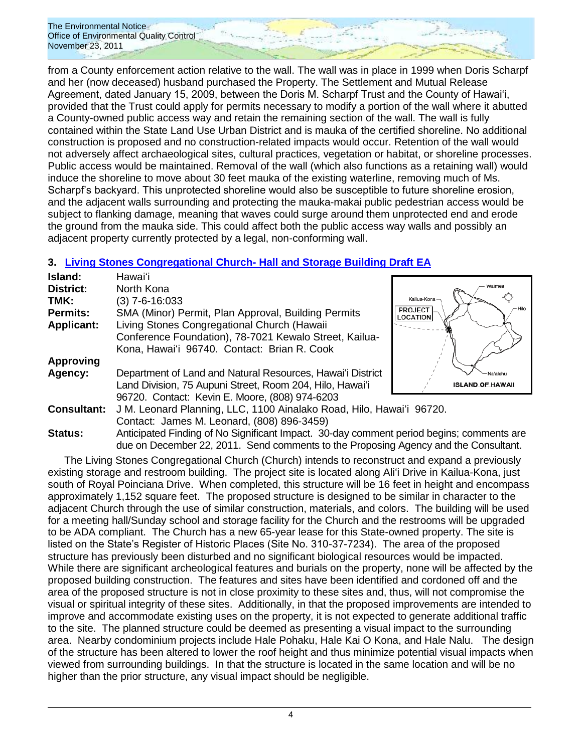from a County enforcement action relative to the wall. The wall was in place in 1999 when Doris Scharpf and her (now deceased) husband purchased the Property. The Settlement and Mutual Release Agreement, dated January 15, 2009, between the Doris M. Scharpf Trust and the County of Hawai"i, provided that the Trust could apply for permits necessary to modify a portion of the wall where it abutted a County-owned public access way and retain the remaining section of the wall. The wall is fully contained within the State Land Use Urban District and is mauka of the certified shoreline. No additional construction is proposed and no construction-related impacts would occur. Retention of the wall would not adversely affect archaeological sites, cultural practices, vegetation or habitat, or shoreline processes. Public access would be maintained. Removal of the wall (which also functions as a retaining wall) would induce the shoreline to move about 30 feet mauka of the existing waterline, removing much of Ms. Scharpf"s backyard. This unprotected shoreline would also be susceptible to future shoreline erosion, and the adjacent walls surrounding and protecting the mauka-makai public pedestrian access would be subject to flanking damage, meaning that waves could surge around them unprotected end and erode the ground from the mauka side. This could affect both the public access way walls and possibly an adjacent property currently protected by a legal, non-conforming wall.

### **3. [Living Stones Congregational Church-](http://oeqc.doh.hawaii.gov/Shared%20Documents/EA_and_EIS_Online_Library/Hawaii/2010s/2011-11-23-DEA-Living-Stones-Church-Hall.pdf) Hall and Storage Building Draft EA**

| Island:            | Hawai'i                                                                                  |                                          |
|--------------------|------------------------------------------------------------------------------------------|------------------------------------------|
|                    |                                                                                          | Waimea                                   |
| <b>District:</b>   | North Kona                                                                               |                                          |
| TMK:               | $(3)$ 7-6-16:033                                                                         | Kailua-Kona                              |
| <b>Permits:</b>    | SMA (Minor) Permit, Plan Approval, Building Permits                                      | Hik<br><b>PROJECT</b><br><b>LOCATION</b> |
| <b>Applicant:</b>  | Living Stones Congregational Church (Hawaii                                              |                                          |
|                    | Conference Foundation), 78-7021 Kewalo Street, Kailua-                                   |                                          |
|                    | Kona, Hawai'i 96740. Contact: Brian R. Cook                                              |                                          |
| <b>Approving</b>   |                                                                                          |                                          |
| Agency:            | Department of Land and Natural Resources, Hawai'i District                               | Na'alehu                                 |
|                    | Land Division, 75 Aupuni Street, Room 204, Hilo, Hawai'i                                 | <b>ISLAND OF HAWAII</b>                  |
|                    | 96720. Contact: Kevin E. Moore, (808) 974-6203                                           |                                          |
| <b>Consultant:</b> | J M. Leonard Planning, LLC, 1100 Ainalako Road, Hilo, Hawai'i 96720.                     |                                          |
|                    | Contact: James M. Leonard, (808) 896-3459)                                               |                                          |
| <b>Status:</b>     | Anticipated Finding of No Significant Impact. 30-day comment period begins; comments are |                                          |
|                    | due on December 22, 2011. Send comments to the Proposing Agency and the Consultant.      |                                          |

The Living Stones Congregational Church (Church) intends to reconstruct and expand a previously existing storage and restroom building. The project site is located along Aliʻi Drive in Kailua-Kona, just south of Royal Poinciana Drive. When completed, this structure will be 16 feet in height and encompass approximately 1,152 square feet. The proposed structure is designed to be similar in character to the adjacent Church through the use of similar construction, materials, and colors. The building will be used for a meeting hall/Sunday school and storage facility for the Church and the restrooms will be upgraded to be ADA compliant. The Church has a new 65-year lease for this State-owned property. The site is listed on the State"s Register of Historic Places (Site No. 310-37-7234). The area of the proposed structure has previously been disturbed and no significant biological resources would be impacted. While there are significant archeological features and burials on the property, none will be affected by the proposed building construction. The features and sites have been identified and cordoned off and the area of the proposed structure is not in close proximity to these sites and, thus, will not compromise the visual or spiritual integrity of these sites. Additionally, in that the proposed improvements are intended to improve and accommodate existing uses on the property, it is not expected to generate additional traffic to the site. The planned structure could be deemed as presenting a visual impact to the surrounding area. Nearby condominium projects include Hale Pohaku, Hale Kai O Kona, and Hale Nalu. The design of the structure has been altered to lower the roof height and thus minimize potential visual impacts when viewed from surrounding buildings. In that the structure is located in the same location and will be no higher than the prior structure, any visual impact should be negligible.

comments are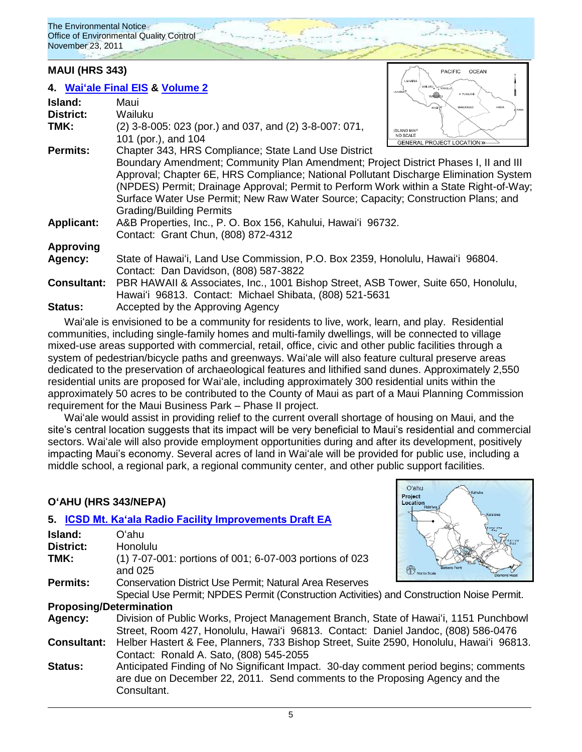#### **MAUI (HRS 343)**

|                    | 4. Wai'ale Final EIS & Volume 2                                                        | WAILUKU <b>WARNILU</b><br><b>LAHAINA</b><br>· PUKALAN |
|--------------------|----------------------------------------------------------------------------------------|-------------------------------------------------------|
| Island:            | Maui                                                                                   | WAILUKU<br>MAKAWAO<br>HANA<br>KIHEI                   |
| <b>District:</b>   | Wailuku                                                                                | HANA                                                  |
| TMK:               | (2) 3-8-005: 023 (por.) and 037, and (2) 3-8-007: 071,                                 | <b>ISLAND MAP</b>                                     |
|                    | 101 (por.), and 104                                                                    | <b>NO SCALE</b><br><b>GENERAL PROJECT LOCATION »</b>  |
| <b>Permits:</b>    | Chapter 343, HRS Compliance; State Land Use District                                   |                                                       |
|                    | Boundary Amendment; Community Plan Amendment; Project District Phases I, II and III    |                                                       |
|                    | Approval; Chapter 6E, HRS Compliance; National Pollutant Discharge Elimination System  |                                                       |
|                    | (NPDES) Permit; Drainage Approval; Permit to Perform Work within a State Right-of-Way; |                                                       |
|                    | Surface Water Use Permit; New Raw Water Source; Capacity; Construction Plans; and      |                                                       |
|                    | <b>Grading/Building Permits</b>                                                        |                                                       |
| <b>Applicant:</b>  | A&B Properties, Inc., P. O. Box 156, Kahului, Hawai'i 96732.                           |                                                       |
|                    | Contact: Grant Chun, (808) 872-4312                                                    |                                                       |
| <b>Approving</b>   |                                                                                        |                                                       |
| Agency:            | State of Hawai'i, Land Use Commission, P.O. Box 2359, Honolulu, Hawai'i 96804.         |                                                       |
|                    | Contact: Dan Davidson, (808) 587-3822                                                  |                                                       |
| <b>Consultant:</b> | PBR HAWAII & Associates, Inc., 1001 Bishop Street, ASB Tower, Suite 650, Honolulu,     |                                                       |
|                    | Hawai'i 96813. Contact: Michael Shibata, (808) 521-5631                                |                                                       |
| Status:            | Accepted by the Approving Agency                                                       |                                                       |

**PACIFIC** 

Oʻahu Project Location OCEAN

Waiʻale is envisioned to be a community for residents to live, work, learn, and play. Residential communities, including single-family homes and multi-family dwellings, will be connected to village mixed-use areas supported with commercial, retail, office, civic and other public facilities through a system of pedestrian/bicycle paths and greenways. Waiʻale will also feature cultural preserve areas dedicated to the preservation of archaeological features and lithified sand dunes. Approximately 2,550 residential units are proposed for Waiʻale, including approximately 300 residential units within the approximately 50 acres to be contributed to the County of Maui as part of a Maui Planning Commission requirement for the Maui Business Park – Phase II project.

Waiʻale would assist in providing relief to the current overall shortage of housing on Maui, and the site's central location suggests that its impact will be very beneficial to Maui's residential and commercial sectors. Waiʻale will also provide employment opportunities during and after its development, positively impacting Maui"s economy. Several acres of land in Waiʻale will be provided for public use, including a middle school, a regional park, a regional community center, and other public support facilities.

### **OʻAHU (HRS 343/NEPA)**

#### **5. [ICSD Mt. Ka'ala Radio Facility Improvements Draft EA](http://oeqc.doh.hawaii.gov/Shared%20Documents/EA_and_EIS_Online_Library/Oahu/2010s/2011-11-23-DEA-ICSD-Mt-Kaala.pdf)**

| Island:                        | Oʻahu                                                                                     |              |
|--------------------------------|-------------------------------------------------------------------------------------------|--------------|
| District:                      | Honolulu                                                                                  |              |
| TMK:                           | (1) 7-07-001: portions of 001; 6-07-003 portions of 023                                   |              |
|                                | and 025                                                                                   | Not to Scale |
| Permits:                       | <b>Conservation District Use Permit; Natural Area Reserves</b>                            |              |
|                                | Special Use Permit; NPDES Permit (Construction Activities) and Construction Noise Permit. |              |
| <b>Proposing/Determination</b> |                                                                                           |              |
| Agency:                        | Division of Public Works, Project Management Branch, State of Hawai'i, 1151 Punchbowl     |              |
|                                | Street, Room 427, Honolulu, Hawai'i 96813. Contact: Daniel Jandoc, (808) 586-0476         |              |
| <b>Consultant:</b>             | Helber Hastert & Fee, Planners, 733 Bishop Street, Suite 2590, Honolulu, Hawai'i 96813.   |              |
|                                | Contact: Ronald A. Sato, (808) 545-2055                                                   |              |
| <b>Status:</b>                 | Anticipated Finding of No Significant Impact. 30-day comment period begins; comments      |              |
|                                | are due on December 22, 2011. Send comments to the Proposing Agency and the               |              |
|                                | Consultant.                                                                               |              |
|                                |                                                                                           |              |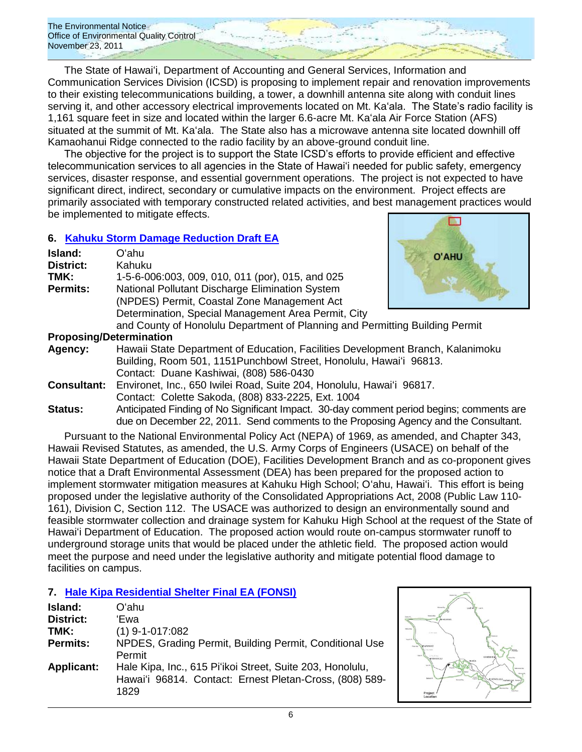The State of Hawaiʻi, Department of Accounting and General Services, Information and Communication Services Division (ICSD) is proposing to implement repair and renovation improvements to their existing telecommunications building, a tower, a downhill antenna site along with conduit lines serving it, and other accessory electrical improvements located on Mt. Ka'ala. The State's radio facility is 1,161 square feet in size and located within the larger 6.6-acre Mt. Kaʻala Air Force Station (AFS) situated at the summit of Mt. Kaʻala. The State also has a microwave antenna site located downhill off Kamaohanui Ridge connected to the radio facility by an above-ground conduit line.

The objective for the project is to support the State ICSD"s efforts to provide efficient and effective telecommunication services to all agencies in the State of Hawai"i needed for public safety, emergency services, disaster response, and essential government operations. The project is not expected to have significant direct, indirect, secondary or cumulative impacts on the environment. Project effects are primarily associated with temporary constructed related activities, and best management practices would be implemented to mitigate effects.

#### **6. [Kahuku Storm Damage Reduction](http://oeqc.doh.hawaii.gov/Shared%20Documents/EA_and_EIS_Online_Library/Oahu/2010s/2011-11-23-DEA-Kahuku-Storm-Drainage.pdf) Draft EA**

| Island:          | Oʻahu                                               |
|------------------|-----------------------------------------------------|
| <b>District:</b> | Kahuku                                              |
| TMK:             | 1-5-6-006:003, 009, 010, 011 (por), 015, and 025    |
| <b>Permits:</b>  | National Pollutant Discharge Elimination System     |
|                  | (NPDES) Permit, Coastal Zone Management Act         |
|                  | Determination, Special Management Area Permit, City |
|                  |                                                     |



and County of Honolulu Department of Planning and Permitting Building Permit **Proposing/Determination**

- **Agency:** Hawaii State Department of Education, Facilities Development Branch, Kalanimoku Building, Room 501, 1151Punchbowl Street, Honolulu, Hawaiʻi 96813. Contact: Duane Kashiwai, (808) 586-0430
- **Consultant:** Environet, Inc., 650 Iwilei Road, Suite 204, Honolulu, Hawaiʻi 96817. Contact: Colette Sakoda, (808) 833-2225, Ext. 1004
- **Status:** Anticipated Finding of No Significant Impact. 30-day comment period begins; comments are due on December 22, 2011. Send comments to the Proposing Agency and the Consultant.

Pursuant to the National Environmental Policy Act (NEPA) of 1969, as amended, and Chapter 343, Hawaii Revised Statutes, as amended, the U.S. Army Corps of Engineers (USACE) on behalf of the Hawaii State Department of Education (DOE), Facilities Development Branch and as co-proponent gives notice that a Draft Environmental Assessment (DEA) has been prepared for the proposed action to implement stormwater mitigation measures at Kahuku High School; Oʻahu, Hawaiʻi. This effort is being proposed under the legislative authority of the Consolidated Appropriations Act, 2008 (Public Law 110- 161), Division C, Section 112. The USACE was authorized to design an environmentally sound and feasible stormwater collection and drainage system for Kahuku High School at the request of the State of Hawaiʻi Department of Education. The proposed action would route on-campus stormwater runoff to underground storage units that would be placed under the athletic field. The proposed action would meet the purpose and need under the legislative authority and mitigate potential flood damage to facilities on campus.

### **7. [Hale Kipa Residential Shelter](http://oeqc.doh.hawaii.gov/Shared%20Documents/EA_and_EIS_Online_Library/Oahu/2010s/2011-11-23-FEA-Hale-Kipa-Shelter.pdf) Final EA (FONSI)**

| Island:           | Oʻahu                                                                                                                        |
|-------------------|------------------------------------------------------------------------------------------------------------------------------|
| District:         | 'Ewa                                                                                                                         |
| TMK:              | $(1)$ 9-1-017:082                                                                                                            |
| <b>Permits:</b>   | NPDES, Grading Permit, Building Permit, Conditional Use<br>Permit                                                            |
| <b>Applicant:</b> | Hale Kipa, Inc., 615 Pi'ikoi Street, Suite 203, Honolulu,<br>Hawai'i 96814. Contact: Ernest Pletan-Cross, (808) 589-<br>1829 |

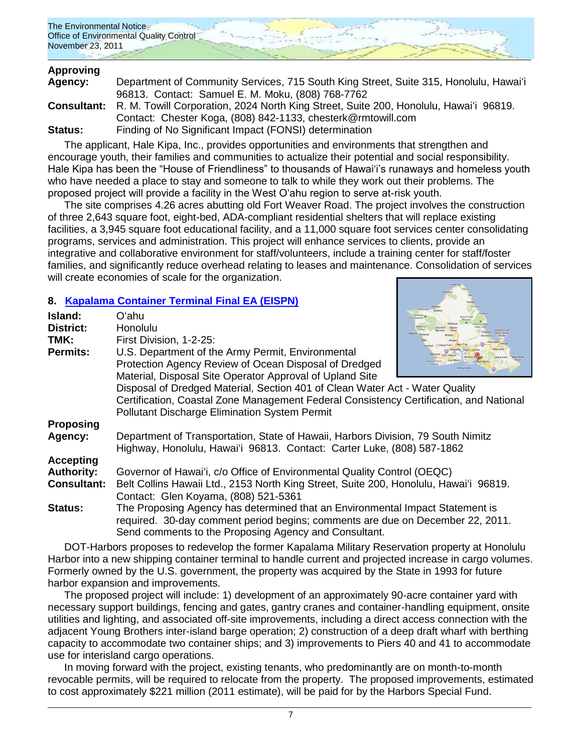

# **Approving**

| Agency: | Department of Community Services, 715 South King Street, Suite 315, Honolulu, Hawai'i                    |
|---------|----------------------------------------------------------------------------------------------------------|
|         | 96813. Contact: Samuel E. M. Moku, (808) 768-7762                                                        |
|         | <b>Consultant:</b> R. M. Towill Corporation, 2024 North King Street, Suite 200, Honolulu, Hawai'i 96819. |
|         | Contact: Chester Koga, (808) 842-1133, chesterk@rmtowill.com                                             |
| Status: | Finding of No Significant Impact (FONSI) determination                                                   |

The applicant, Hale Kipa, Inc., provides opportunities and environments that strengthen and encourage youth, their families and communities to actualize their potential and social responsibility. Hale Kipa has been the "House of Friendliness" to thousands of Hawai'i's runaways and homeless youth who have needed a place to stay and someone to talk to while they work out their problems. The proposed project will provide a facility in the West O"ahu region to serve at-risk youth.

The site comprises 4.26 acres abutting old Fort Weaver Road. The project involves the construction of three 2,643 square foot, eight-bed, ADA-compliant residential shelters that will replace existing facilities, a 3,945 square foot educational facility, and a 11,000 square foot services center consolidating programs, services and administration. This project will enhance services to clients, provide an integrative and collaborative environment for staff/volunteers, include a training center for staff/foster families, and significantly reduce overhead relating to leases and maintenance. Consolidation of services will create economies of scale for the organization.

### **8. [Kapalama Container Terminal](http://oeqc.doh.hawaii.gov/Shared%20Documents/EA_and_EIS_Online_Library/Oahu/2010s/2011-11-23-FEA-EISPN-Kapalama-Container-Terminal.pdf) Final EA (EISPN)**

| Island:            | Oʻahu                                                                                  |                                              |
|--------------------|----------------------------------------------------------------------------------------|----------------------------------------------|
| <b>District:</b>   | Honolulu                                                                               |                                              |
| TMK:               | First Division, 1-2-25:                                                                |                                              |
|                    |                                                                                        | Village Park Pearl Ci<br>Waipahu Alea Halawa |
| <b>Permits:</b>    | U.S. Department of the Army Permit, Environmental                                      |                                              |
|                    | Protection Agency Review of Ocean Disposal of Dredged                                  |                                              |
|                    | Material, Disposal Site Operator Approval of Upland Site                               |                                              |
|                    | Disposal of Dredged Material, Section 401 of Clean Water Act - Water Quality           |                                              |
|                    | Certification, Coastal Zone Management Federal Consistency Certification, and National |                                              |
|                    | <b>Pollutant Discharge Elimination System Permit</b>                                   |                                              |
| <b>Proposing</b>   |                                                                                        |                                              |
| Agency:            | Department of Transportation, State of Hawaii, Harbors Division, 79 South Nimitz       |                                              |
|                    | Highway, Honolulu, Hawai'i 96813. Contact: Carter Luke, (808) 587-1862                 |                                              |
| <b>Accepting</b>   |                                                                                        |                                              |
| <b>Authority:</b>  | Governor of Hawai'i, c/o Office of Environmental Quality Control (OEQC)                |                                              |
|                    |                                                                                        |                                              |
| <b>Consultant:</b> | Belt Collins Hawaii Ltd., 2153 North King Street, Suite 200, Honolulu, Hawai'i 96819.  |                                              |
|                    | Contact: Glen Koyama, (808) 521-5361                                                   |                                              |
| <b>Status:</b>     | The Proposing Agency has determined that an Environmental Impact Statement is          |                                              |
|                    | required. 30-day comment period begins; comments are due on December 22, 2011.         |                                              |
|                    | Send comments to the Proposing Agency and Consultant.                                  |                                              |

DOT-Harbors proposes to redevelop the former Kapalama Military Reservation property at Honolulu Harbor into a new shipping container terminal to handle current and projected increase in cargo volumes. Formerly owned by the U.S. government, the property was acquired by the State in 1993 for future harbor expansion and improvements.

The proposed project will include: 1) development of an approximately 90-acre container yard with necessary support buildings, fencing and gates, gantry cranes and container-handling equipment, onsite utilities and lighting, and associated off-site improvements, including a direct access connection with the adjacent Young Brothers inter-island barge operation; 2) construction of a deep draft wharf with berthing capacity to accommodate two container ships; and 3) improvements to Piers 40 and 41 to accommodate use for interisland cargo operations.

In moving forward with the project, existing tenants, who predominantly are on month-to-month revocable permits, will be required to relocate from the property. The proposed improvements, estimated to cost approximately \$221 million (2011 estimate), will be paid for by the Harbors Special Fund.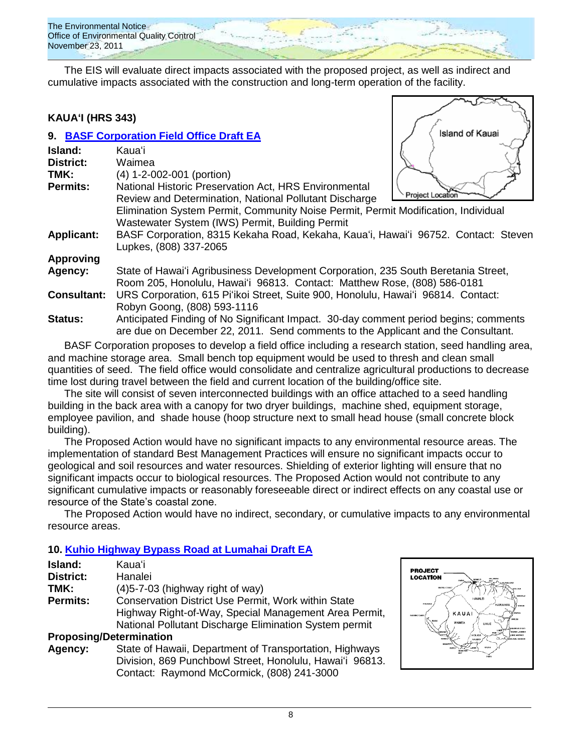

The EIS will evaluate direct impacts associated with the proposed project, as well as indirect and cumulative impacts associated with the construction and long-term operation of the facility.

#### **KAUAʻI (HRS 343)**

|                    | 9. BASF Corporation Field Office Draft EA                                            | Island of Kauai         |
|--------------------|--------------------------------------------------------------------------------------|-------------------------|
| Island:            | Kauaʻi                                                                               |                         |
| <b>District:</b>   | Waimea                                                                               |                         |
| TMK:               | (4) 1-2-002-001 (portion)                                                            |                         |
| <b>Permits:</b>    | National Historic Preservation Act, HRS Environmental                                |                         |
|                    | Review and Determination, National Pollutant Discharge                               | <b>Project Location</b> |
|                    | Elimination System Permit, Community Noise Permit, Permit Modification, Individual   |                         |
|                    | Wastewater System (IWS) Permit, Building Permit                                      |                         |
| <b>Applicant:</b>  | BASF Corporation, 8315 Kekaha Road, Kekaha, Kaua'i, Hawai'i 96752. Contact: Steven   |                         |
|                    | Lupkes, (808) 337-2065                                                               |                         |
| <b>Approving</b>   |                                                                                      |                         |
| Agency:            | State of Hawai'i Agribusiness Development Corporation, 235 South Beretania Street,   |                         |
|                    | Room 205, Honolulu, Hawai'i 96813. Contact: Matthew Rose, (808) 586-0181             |                         |
| <b>Consultant:</b> | URS Corporation, 615 Pi'ikoi Street, Suite 900, Honolulu, Hawai'i 96814. Contact:    |                         |
|                    | Robyn Goong, (808) 593-1116                                                          |                         |
| <b>Status:</b>     | Anticipated Finding of No Significant Impact. 30-day comment period begins; comments |                         |
|                    | are due on December 22, 2011. Send comments to the Applicant and the Consultant.     |                         |

BASF Corporation proposes to develop a field office including a research station, seed handling area, and machine storage area. Small bench top equipment would be used to thresh and clean small quantities of seed. The field office would consolidate and centralize agricultural productions to decrease time lost during travel between the field and current location of the building/office site.

The site will consist of seven interconnected buildings with an office attached to a seed handling building in the back area with a canopy for two dryer buildings, machine shed, equipment storage, employee pavilion, and shade house (hoop structure next to small head house (small concrete block building).

The Proposed Action would have no significant impacts to any environmental resource areas. The implementation of standard Best Management Practices will ensure no significant impacts occur to geological and soil resources and water resources. Shielding of exterior lighting will ensure that no significant impacts occur to biological resources. The Proposed Action would not contribute to any significant cumulative impacts or reasonably foreseeable direct or indirect effects on any coastal use or resource of the State"s coastal zone.

The Proposed Action would have no indirect, secondary, or cumulative impacts to any environmental resource areas.

### **10. [Kuhio Highway Bypass Road at Lumahai](http://oeqc.doh.hawaii.gov/Shared%20Documents/EA_and_EIS_Online_Library/Kauai/2010s/2011-11-23-DEA-Kuhio-Hwy-Bypass-Road.pdf) Draft EA**

| Island:                        | Kauaʻi                                                   |  |
|--------------------------------|----------------------------------------------------------|--|
| <b>District:</b>               | Hanalei                                                  |  |
| TMK:                           | $(4)5 - 7 - 03$ (highway right of way)                   |  |
| <b>Permits:</b>                | Conservation District Use Permit, Work within State      |  |
|                                | Highway Right-of-Way, Special Management Area Permit,    |  |
|                                | National Pollutant Discharge Elimination System permit   |  |
| <b>Proposing/Determination</b> |                                                          |  |
| Agency:                        | State of Hawaii, Department of Transportation, Highways  |  |
|                                | Division, 869 Punchbowl Street, Honolulu, Hawai'i 96813. |  |
|                                | Contact: Raymond McCormick, (808) 241-3000               |  |

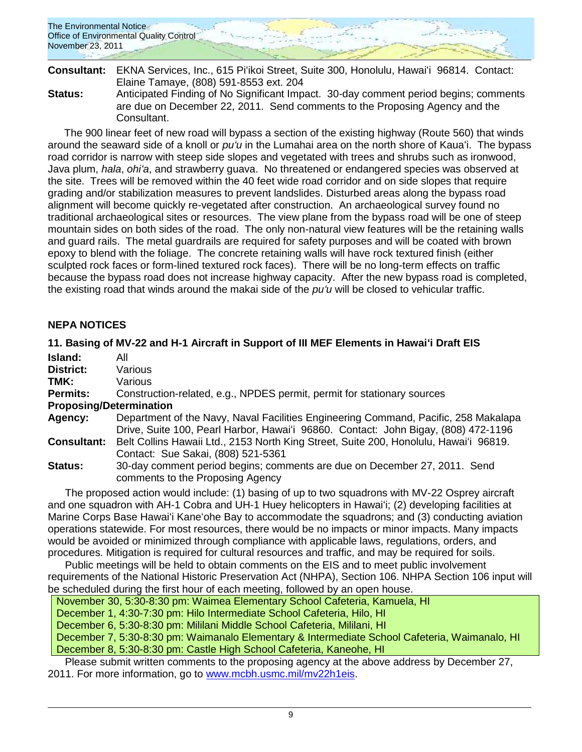| The Environmental Notice<br>Office of Environmental Quality Control <sup>-</sup> |  |  |
|----------------------------------------------------------------------------------|--|--|
| November 23, 2011                                                                |  |  |

| Consultant:    | EKNA Services, Inc., 615 Pi'ikoi Street, Suite 300, Honolulu, Hawai'i 96814. Contact: |
|----------------|---------------------------------------------------------------------------------------|
|                | Elaine Tamaye, (808) 591-8553 ext. 204                                                |
| <b>Status:</b> | Anticipated Finding of No Significant Impact. 30-day comment period begins; comments  |
|                | are due on December 22, 2011. Send comments to the Proposing Agency and the           |
|                | Consultant.                                                                           |

The 900 linear feet of new road will bypass a section of the existing highway (Route 560) that winds around the seaward side of a knoll or *puʻu* in the Lumahai area on the north shore of Kauaʻi. The bypass road corridor is narrow with steep side slopes and vegetated with trees and shrubs such as ironwood, Java plum, *hala*, *ohiʻa*, and strawberry guava. No threatened or endangered species was observed at the site. Trees will be removed within the 40 feet wide road corridor and on side slopes that require grading and/or stabilization measures to prevent landslides. Disturbed areas along the bypass road alignment will become quickly re-vegetated after construction. An archaeological survey found no traditional archaeological sites or resources. The view plane from the bypass road will be one of steep mountain sides on both sides of the road. The only non-natural view features will be the retaining walls and guard rails. The metal guardrails are required for safety purposes and will be coated with brown epoxy to blend with the foliage. The concrete retaining walls will have rock textured finish (either sculpted rock faces or form-lined textured rock faces). There will be no long-term effects on traffic because the bypass road does not increase highway capacity. After the new bypass road is completed, the existing road that winds around the makai side of the *puʻu* will be closed to vehicular traffic.

#### **NEPA NOTICES**

#### **11. Basing of MV-22 and H-1 Aircraft in Support of III MEF Elements in Hawaiʻi Draft EIS**

| Island:                        | All                                                                                                                                                                       |
|--------------------------------|---------------------------------------------------------------------------------------------------------------------------------------------------------------------------|
| District:                      | Various                                                                                                                                                                   |
| TMK:                           | Various                                                                                                                                                                   |
| <b>Permits:</b>                | Construction-related, e.g., NPDES permit, permit for stationary sources                                                                                                   |
| <b>Proposing/Determination</b> |                                                                                                                                                                           |
| Agency:                        | Department of the Navy, Naval Facilities Engineering Command, Pacific, 258 Makalapa<br>Drive, Suite 100, Pearl Harbor, Hawai'i 96860. Contact: John Bigay, (808) 472-1196 |
| <b>Consultant:</b>             | Belt Collins Hawaii Ltd., 2153 North King Street, Suite 200, Honolulu, Hawai'i 96819.<br>Contact: Sue Sakai, (808) 521-5361                                               |
| Status:                        | 30-day comment period begins; comments are due on December 27, 2011. Send<br>comments to the Proposing Agency                                                             |
|                                | The proposed action would include: (1) basing of up to two squadrons with MV-22 Osprey aircraft                                                                           |

and one squadron with AH-1 Cobra and UH-1 Huey helicopters in Hawaiʻi; (2) developing facilities at Marine Corps Base Hawaiʻi Kaneʻohe Bay to accommodate the squadrons; and (3) conducting aviation operations statewide. For most resources, there would be no impacts or minor impacts. Many impacts would be avoided or minimized through compliance with applicable laws, regulations, orders, and procedures. Mitigation is required for cultural resources and traffic, and may be required for soils.

Public meetings will be held to obtain comments on the EIS and to meet public involvement requirements of the National Historic Preservation Act (NHPA), Section 106. NHPA Section 106 input will be scheduled during the first hour of each meeting, followed by an open house.

November 30, 5:30-8:30 pm: Waimea Elementary School Cafeteria, Kamuela, HI

December 1, 4:30-7:30 pm: Hilo Intermediate School Cafeteria, Hilo, HI

December 6, 5:30-8:30 pm: Mililani Middle School Cafeteria, Mililani, HI

December 7, 5:30-8:30 pm: Waimanalo Elementary & Intermediate School Cafeteria, Waimanalo, HI

December 8, 5:30-8:30 pm: Castle High School Cafeteria, Kaneohe, HI

Please submit written comments to the proposing agency at the above address by December 27, 2011. For more information, go to [www.mcbh.usmc.mil/mv22h1eis.](http://www.mcbh.usmc.mil/mv22h1eis)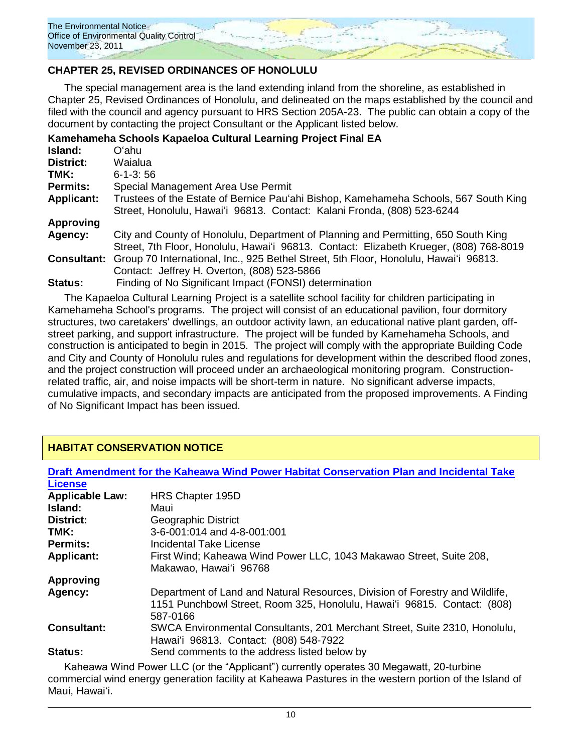

### **CHAPTER 25, REVISED ORDINANCES OF HONOLULU**

The special management area is the land extending inland from the shoreline, as established in Chapter 25, Revised Ordinances of Honolulu, and delineated on the maps established by the council and filed with the council and agency pursuant to HRS Section 205A-23. The public can obtain a copy of the document by contacting the project Consultant or the Applicant listed below.

|                   | Kamehameha Schools Kapaeloa Cultural Learning Project Final EA                                                                                                               |
|-------------------|------------------------------------------------------------------------------------------------------------------------------------------------------------------------------|
| <b>Island:</b>    | O'ahu                                                                                                                                                                        |
| <b>District:</b>  | Waialua                                                                                                                                                                      |
| TMK:              | $6 - 1 - 3$ : 56                                                                                                                                                             |
| <b>Permits:</b>   | Special Management Area Use Permit                                                                                                                                           |
| <b>Applicant:</b> | Trustees of the Estate of Bernice Pau'ahi Bishop, Kamehameha Schools, 567 South King<br>Street, Honolulu, Hawai'i 96813. Contact: Kalani Fronda, (808) 523-6244              |
| <b>Approving</b>  |                                                                                                                                                                              |
| Agency:           | City and County of Honolulu, Department of Planning and Permitting, 650 South King<br>Street, 7th Floor, Honolulu, Hawai'i 96813. Contact: Elizabeth Krueger, (808) 768-8019 |
|                   | <b>Consultant:</b> Group 70 International, Inc., 925 Bethel Street, 5th Floor, Honolulu, Hawai'i 96813.<br>Contact: Jeffrey H. Overton, (808) 523-5866                       |
| Status:           | Finding of No Significant Impact (FONSI) determination                                                                                                                       |

The Kapaeloa Cultural Learning Project is a satellite school facility for children participating in Kamehameha School's programs. The project will consist of an educational pavilion, four dormitory structures, two caretakers' dwellings, an outdoor activity lawn, an educational native plant garden, offstreet parking, and support infrastructure. The project will be funded by Kamehameha Schools, and construction is anticipated to begin in 2015. The project will comply with the appropriate Building Code and City and County of Honolulu rules and regulations for development within the described flood zones, and the project construction will proceed under an archaeological monitoring program. Constructionrelated traffic, air, and noise impacts will be short-term in nature. No significant adverse impacts, cumulative impacts, and secondary impacts are anticipated from the proposed improvements. A Finding of No Significant Impact has been issued.

### **HABITAT CONSERVATION NOTICE**

| Draft Amendment for the Kaheawa Wind Power Habitat Conservation Plan and Incidental Take |                                                                                                                                                                      |  |  |
|------------------------------------------------------------------------------------------|----------------------------------------------------------------------------------------------------------------------------------------------------------------------|--|--|
| <b>License</b>                                                                           |                                                                                                                                                                      |  |  |
| <b>Applicable Law:</b>                                                                   | HRS Chapter 195D                                                                                                                                                     |  |  |
| Island:                                                                                  | Maui                                                                                                                                                                 |  |  |
| <b>District:</b>                                                                         | Geographic District                                                                                                                                                  |  |  |
| TMK:                                                                                     | 3-6-001:014 and 4-8-001:001                                                                                                                                          |  |  |
| <b>Permits:</b>                                                                          | Incidental Take License                                                                                                                                              |  |  |
| <b>Applicant:</b>                                                                        | First Wind; Kaheawa Wind Power LLC, 1043 Makawao Street, Suite 208,                                                                                                  |  |  |
|                                                                                          | Makawao, Hawai'i 96768                                                                                                                                               |  |  |
| <b>Approving</b>                                                                         |                                                                                                                                                                      |  |  |
| Agency:                                                                                  | Department of Land and Natural Resources, Division of Forestry and Wildlife,<br>1151 Punchbowl Street, Room 325, Honolulu, Hawai'i 96815. Contact: (808)<br>587-0166 |  |  |
| <b>Consultant:</b>                                                                       | SWCA Environmental Consultants, 201 Merchant Street, Suite 2310, Honolulu,<br>Hawai'i 96813. Contact: (808) 548-7922                                                 |  |  |
| <b>Status:</b>                                                                           | Send comments to the address listed below by                                                                                                                         |  |  |

Kaheawa Wind Power LLC (or the "Applicant") currently operates 30 Megawatt, 20-turbine commercial wind energy generation facility at Kaheawa Pastures in the western portion of the Island of Maui, Hawaiʻi.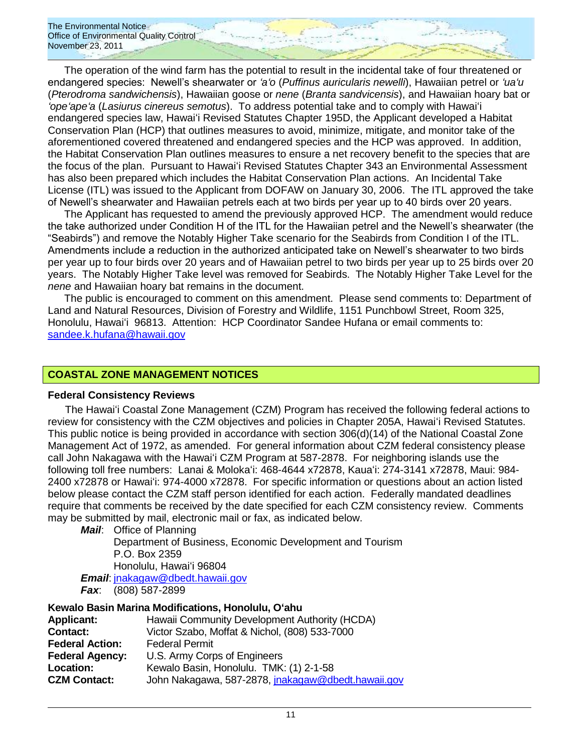The operation of the wind farm has the potential to result in the incidental take of four threatened or endangered species: Newell"s shearwater or *ʻaʻo* (*Puffinus auricularis newelli*), Hawaiian petrel or *ʻuaʻu* (*Pterodroma sandwichensis*), Hawaiian goose or *nene* (*Branta sandvicensis*), and Hawaiian hoary bat or *ʻopeʻapeʻa* (*Lasiurus cinereus semotus*). To address potential take and to comply with Hawaiʻi endangered species law, Hawaiʻi Revised Statutes Chapter 195D, the Applicant developed a Habitat Conservation Plan (HCP) that outlines measures to avoid, minimize, mitigate, and monitor take of the aforementioned covered threatened and endangered species and the HCP was approved. In addition, the Habitat Conservation Plan outlines measures to ensure a net recovery benefit to the species that are the focus of the plan. Pursuant to Hawaiʻi Revised Statutes Chapter 343 an Environmental Assessment has also been prepared which includes the Habitat Conservation Plan actions. An Incidental Take License (ITL) was issued to the Applicant from DOFAW on January 30, 2006. The ITL approved the take of Newell"s shearwater and Hawaiian petrels each at two birds per year up to 40 birds over 20 years.

The Applicant has requested to amend the previously approved HCP. The amendment would reduce the take authorized under Condition H of the ITL for the Hawaiian petrel and the Newell"s shearwater (the "Seabirds") and remove the Notably Higher Take scenario for the Seabirds from Condition I of the ITL. Amendments include a reduction in the authorized anticipated take on Newell"s shearwater to two birds per year up to four birds over 20 years and of Hawaiian petrel to two birds per year up to 25 birds over 20 years. The Notably Higher Take level was removed for Seabirds. The Notably Higher Take Level for the *nene* and Hawaiian hoary bat remains in the document.

The public is encouraged to comment on this amendment. Please send comments to: Department of Land and Natural Resources, Division of Forestry and Wildlife, 1151 Punchbowl Street, Room 325, Honolulu, Hawaiʻi 96813. Attention: HCP Coordinator Sandee Hufana or email comments to: [sandee.k.hufana@hawaii.gov](mailto:sandee.k.hufana@hawaii.gov)

#### **COASTAL ZONE MANAGEMENT NOTICES**

#### **Federal Consistency Reviews**

The Hawaiʻi Coastal Zone Management (CZM) Program has received the following federal actions to review for consistency with the CZM objectives and policies in Chapter 205A, Hawaiʻi Revised Statutes. This public notice is being provided in accordance with section 306(d)(14) of the National Coastal Zone Management Act of 1972, as amended. For general information about CZM federal consistency please call John Nakagawa with the Hawaiʻi CZM Program at 587-2878. For neighboring islands use the following toll free numbers: Lanai & Molokaʻi: 468-4644 x72878, Kauaʻi: 274-3141 x72878, Maui: 984- 2400 x72878 or Hawaiʻi: 974-4000 x72878. For specific information or questions about an action listed below please contact the CZM staff person identified for each action. Federally mandated deadlines require that comments be received by the date specified for each CZM consistency review. Comments may be submitted by mail, electronic mail or fax, as indicated below.

*Mail*: Office of Planning Department of Business, Economic Development and Tourism P.O. Box 2359 Honolulu, Hawaiʻi 96804 *Email*: [jnakagaw@dbedt.hawaii.gov](mailto:jnakagaw@dbedt.hawaii.gov) *Fax*: (808) 587-2899

#### **Kewalo Basin Marina Modifications, Honolulu, Oʻahu**

| <b>Applicant:</b>      | Hawaii Community Development Authority (HCDA)      |
|------------------------|----------------------------------------------------|
| Contact:               | Victor Szabo, Moffat & Nichol, (808) 533-7000      |
| <b>Federal Action:</b> | <b>Federal Permit</b>                              |
| <b>Federal Agency:</b> | U.S. Army Corps of Engineers                       |
| <b>Location:</b>       | Kewalo Basin, Honolulu. TMK: (1) 2-1-58            |
| <b>CZM Contact:</b>    | John Nakagawa, 587-2878, jnakagaw@dbedt.hawaii.gov |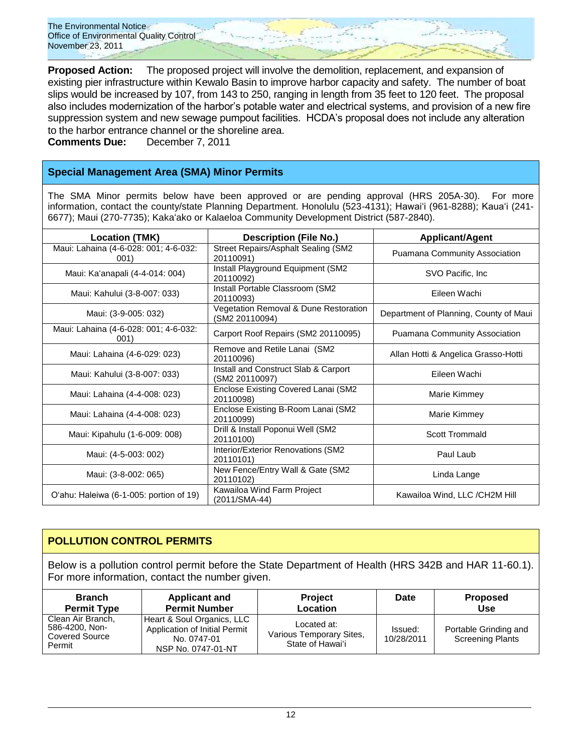**Proposed Action:** The proposed project will involve the demolition, replacement, and expansion of existing pier infrastructure within Kewalo Basin to improve harbor capacity and safety. The number of boat slips would be increased by 107, from 143 to 250, ranging in length from 35 feet to 120 feet. The proposal also includes modernization of the harbor"s potable water and electrical systems, and provision of a new fire suppression system and new sewage pumpout facilities. HCDA"s proposal does not include any alteration to the harbor entrance channel or the shoreline area.

**Comments Due:** December 7, 2011

### **Special Management Area (SMA) Minor Permits**

The SMA Minor permits below have been approved or are pending approval (HRS 205A-30). For more information, contact the county/state Planning Department. Honolulu (523-4131); Hawaiʻi (961-8288); Kauaʻi (241-6677); Maui (270-7735); Kakaʻako or Kalaeloa Community Development District (587-2840).

| <b>Location (TMK)</b>                         | <b>Description (File No.)</b>                           | <b>Applicant/Agent</b>                 |
|-----------------------------------------------|---------------------------------------------------------|----------------------------------------|
| Maui: Lahaina (4-6-028: 001; 4-6-032:<br>001) | Street Repairs/Asphalt Sealing (SM2<br>20110091)        | Puamana Community Association          |
| Maui: Ka'anapali (4-4-014: 004)               | Install Playground Equipment (SM2<br>20110092)          | SVO Pacific, Inc.                      |
| Maui: Kahului (3-8-007: 033)                  | Install Portable Classroom (SM2<br>20110093)            | Eileen Wachi                           |
| Maui: (3-9-005: 032)                          | Vegetation Removal & Dune Restoration<br>(SM2 20110094) | Department of Planning, County of Maui |
| Maui: Lahaina (4-6-028: 001; 4-6-032:<br>001) | Carport Roof Repairs (SM2 20110095)                     | Puamana Community Association          |
| Maui: Lahaina (4-6-029: 023)                  | Remove and Retile Lanai (SM2<br>20110096)               | Allan Hotti & Angelica Grasso-Hotti    |
| Maui: Kahului (3-8-007: 033)                  | Install and Construct Slab & Carport<br>(SM2 20110097)  | Eileen Wachi                           |
| Maui: Lahaina (4-4-008: 023)                  | Enclose Existing Covered Lanai (SM2<br>20110098)        | Marie Kimmey                           |
| Maui: Lahaina (4-4-008: 023)                  | Enclose Existing B-Room Lanai (SM2<br>20110099)         | Marie Kimmey                           |
| Maui: Kipahulu (1-6-009: 008)                 | Drill & Install Poponui Well (SM2<br>20110100)          | <b>Scott Trommald</b>                  |
| Maui: (4-5-003: 002)                          | Interior/Exterior Renovations (SM2<br>20110101)         | Paul Laub                              |
| Maui: (3-8-002: 065)                          | New Fence/Entry Wall & Gate (SM2<br>20110102)           | Linda Lange                            |
| O'ahu: Haleiwa (6-1-005: portion of 19)       | Kawailoa Wind Farm Project<br>(2011/SMA-44)             | Kawailoa Wind, LLC /CH2M Hill          |

### **POLLUTION CONTROL PERMITS**

Below is a pollution control permit before the State Department of Health (HRS 342B and HAR 11-60.1). For more information, contact the number given.

| <b>Branch</b>                                                   | <b>Applicant and</b>                                                                             | <b>Project</b>                                              | <b>Date</b>           | <b>Proposed</b>                                  |
|-----------------------------------------------------------------|--------------------------------------------------------------------------------------------------|-------------------------------------------------------------|-----------------------|--------------------------------------------------|
| <b>Permit Type</b>                                              | <b>Permit Number</b>                                                                             | Location                                                    |                       | <b>Use</b>                                       |
| Clean Air Branch,<br>586-4200, Non-<br>Covered Source<br>Permit | Heart & Soul Organics, LLC<br>Application of Initial Permit<br>No. 0747-01<br>NSP No. 0747-01-NT | Located at:<br>Various Temporary Sites,<br>State of Hawai'i | Issued:<br>10/28/2011 | Portable Grinding and<br><b>Screening Plants</b> |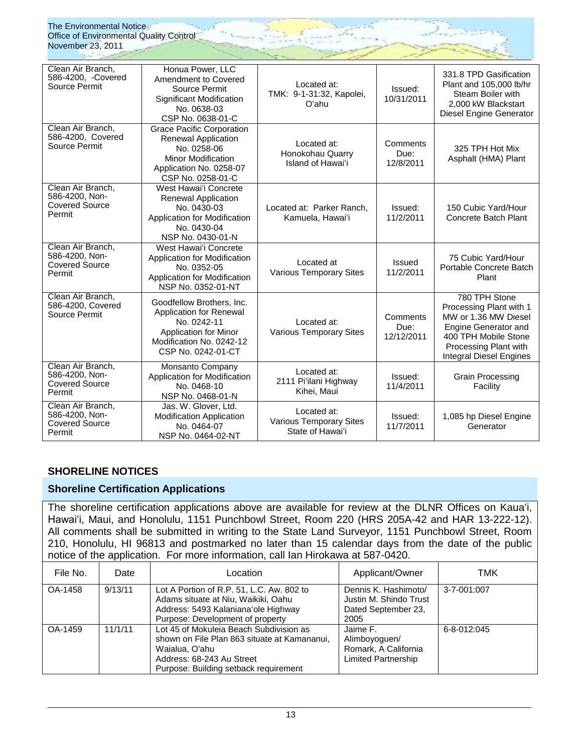| Clean Air Branch,<br>586-4200, -Covered<br>Source Permit               | Honua Power, LLC<br>Amendment to Covered<br>Source Permit<br>Significant Modification<br>No. 0638-03<br>CSP No. 0638-01-C                           | Located at:<br>TMK: 9-1-31:32, Kapolei,<br>O'ahu                  | Issued:<br>10/31/2011          | 331.8 TPD Gasification<br>Plant and 105,000 lb/hr<br>Steam Boiler with<br>2.000 kW Blackstart<br>Diesel Engine Generator                                                    |
|------------------------------------------------------------------------|-----------------------------------------------------------------------------------------------------------------------------------------------------|-------------------------------------------------------------------|--------------------------------|-----------------------------------------------------------------------------------------------------------------------------------------------------------------------------|
| Clean Air Branch.<br>586-4200, Covered<br>Source Permit                | <b>Grace Pacific Corporation</b><br>Renewal Application<br>No. 0258-06<br><b>Minor Modification</b><br>Application No. 0258-07<br>CSP No. 0258-01-C | Located at:<br>Honokohau Quarry<br>Island of Hawai'i              | Comments<br>Due:<br>12/8/2011  | 325 TPH Hot Mix<br>Asphalt (HMA) Plant                                                                                                                                      |
| Clean Air Branch,<br>586-4200, Non-<br><b>Covered Source</b><br>Permit | West Hawai'i Concrete<br><b>Renewal Application</b><br>No. 0430-03<br>Application for Modification<br>No. 0430-04<br>NSP No. 0430-01-N              | Located at: Parker Ranch.<br>Kamuela, Hawai'i                     | Issued:<br>11/2/2011           | 150 Cubic Yard/Hour<br>Concrete Batch Plant                                                                                                                                 |
| Clean Air Branch,<br>586-4200, Non-<br><b>Covered Source</b><br>Permit | West Hawai'i Concrete<br>Application for Modification<br>No. 0352-05<br>Application for Modification<br>NSP No. 0352-01-NT                          | Located at<br><b>Various Temporary Sites</b>                      | <b>Issued</b><br>11/2/2011     | 75 Cubic Yard/Hour<br>Portable Concrete Batch<br>Plant                                                                                                                      |
| Clean Air Branch,<br>586-4200, Covered<br>Source Permit                | Goodfellow Brothers, Inc.<br>Application for Renewal<br>No. 0242-11<br>Application for Minor<br>Modification No. 0242-12<br>CSP No. 0242-01-CT      | Located at:<br><b>Various Temporary Sites</b>                     | Comments<br>Due:<br>12/12/2011 | 780 TPH Stone<br>Processing Plant with 1<br>MW or 1.36 MW Diesel<br>Engine Generator and<br>400 TPH Mobile Stone<br>Processing Plant with<br><b>Integral Diesel Engines</b> |
| Clean Air Branch,<br>586-4200, Non-<br><b>Covered Source</b><br>Permit | Monsanto Company<br>Application for Modification<br>No. 0468-10<br>NSP No. 0468-01-N                                                                | Located at:<br>2111 Pi'ilani Highway<br>Kihei, Maui               | Issued:<br>11/4/2011           | <b>Grain Processing</b><br>Facility                                                                                                                                         |
| Clean Air Branch,<br>586-4200, Non-<br><b>Covered Source</b><br>Permit | Jas. W. Glover, Ltd.<br><b>Modification Application</b><br>No. 0464-07<br>NSP No. 0464-02-NT                                                        | Located at:<br><b>Various Temporary Sites</b><br>State of Hawai'i | Issued:<br>11/7/2011           | 1,085 hp Diesel Engine<br>Generator                                                                                                                                         |

### **SHORELINE NOTICES**

### **Shoreline Certification Applications**

The shoreline certification applications above are available for review at the DLNR Offices on Kauaʻi, Hawaiʻi, Maui, and Honolulu, 1151 Punchbowl Street, Room 220 (HRS 205A-42 and HAR 13-222-12). All comments shall be submitted in writing to the State Land Surveyor, 1151 Punchbowl Street, Room 210, Honolulu, HI 96813 and postmarked no later than 15 calendar days from the date of the public notice of the application. For more information, call Ian Hirokawa at 587-0420.

| File No. | Date    | Location                                                                                                                                                                        | Applicant/Owner                                                                 | TMK         |
|----------|---------|---------------------------------------------------------------------------------------------------------------------------------------------------------------------------------|---------------------------------------------------------------------------------|-------------|
| OA-1458  | 9/13/11 | Lot A Portion of R.P. 51, L.C. Aw. 802 to<br>Adams situate at Niu, Waikiki, Oahu<br>Address: 5493 Kalaniana'ole Highway<br>Purpose: Development of property                     | Dennis K. Hashimoto/<br>Justin M. Shindo Trust<br>Dated September 23,<br>2005   | 3-7-001:007 |
| OA-1459  | 11/1/11 | Lot 45 of Mokuleia Beach Subdivision as<br>shown on File Plan 863 situate at Kamananui,<br>Waialua, O'ahu<br>Address: 68-243 Au Street<br>Purpose: Building setback requirement | Jaime F.<br>Alimboyoguen/<br>Romark, A California<br><b>Limited Partnership</b> | 6-8-012:045 |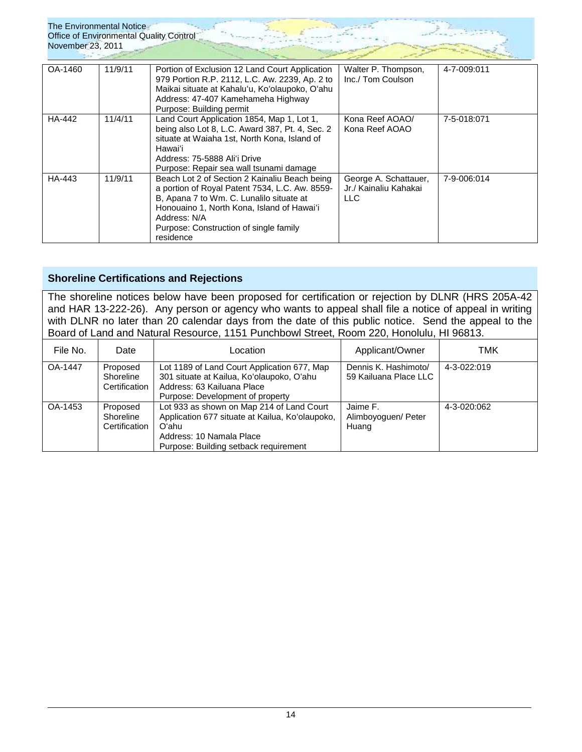| The Environmental Notice<br><b>Office of Environmental Quality Control</b><br>November 23, 2011 |         |                                                                                                                                                                                                                                                                  |                                                        |             |
|-------------------------------------------------------------------------------------------------|---------|------------------------------------------------------------------------------------------------------------------------------------------------------------------------------------------------------------------------------------------------------------------|--------------------------------------------------------|-------------|
| OA-1460                                                                                         | 11/9/11 | Portion of Exclusion 12 Land Court Application<br>979 Portion R.P. 2112, L.C. Aw. 2239, Ap. 2 to<br>Maikai situate at Kahalu'u, Ko'olaupoko, O'ahu<br>Address: 47-407 Kamehameha Highway<br>Purpose: Building permit                                             | Walter P. Thompson,<br>Inc./ Tom Coulson               | 4-7-009:011 |
| HA-442                                                                                          | 11/4/11 | Land Court Application 1854, Map 1, Lot 1,<br>being also Lot 8, L.C. Award 387, Pt. 4, Sec. 2<br>situate at Waiaha 1st, North Kona, Island of<br>Hawai'i<br>Address: 75-5888 Ali'i Drive<br>Purpose: Repair sea wall tsunami damage                              | Kona Reef AOAO/<br>Kona Reef AOAO                      | 7-5-018:071 |
| HA-443                                                                                          | 11/9/11 | Beach Lot 2 of Section 2 Kainaliu Beach being<br>a portion of Royal Patent 7534, L.C. Aw. 8559-<br>B, Apana 7 to Wm. C. Lunalilo situate at<br>Honouaino 1, North Kona, Island of Hawai'i<br>Address: N/A<br>Purpose: Construction of single family<br>residence | George A. Schattauer,<br>Jr./ Kainaliu Kahakai<br>LLC. | 7-9-006:014 |

### **Shoreline Certifications and Rejections**

The shoreline notices below have been proposed for certification or rejection by DLNR (HRS 205A-42 and HAR 13-222-26). Any person or agency who wants to appeal shall file a notice of appeal in writing with DLNR no later than 20 calendar days from the date of this public notice. Send the appeal to the Board of Land and Natural Resource, 1151 Punchbowl Street, Room 220, Honolulu, HI 96813.

| File No. | Date                                   | Location                                                                                                                                                                   | Applicant/Owner                               | TMK         |
|----------|----------------------------------------|----------------------------------------------------------------------------------------------------------------------------------------------------------------------------|-----------------------------------------------|-------------|
| OA-1447  | Proposed<br>Shoreline<br>Certification | Lot 1189 of Land Court Application 677, Map<br>301 situate at Kailua, Ko'olaupoko, O'ahu<br>Address: 63 Kailuana Place<br>Purpose: Development of property                 | Dennis K. Hashimoto/<br>59 Kailuana Place LLC | 4-3-022:019 |
| OA-1453  | Proposed<br>Shoreline<br>Certification | Lot 933 as shown on Map 214 of Land Court<br>Application 677 situate at Kailua, Ko'olaupoko,<br>Oʻahu<br>Address: 10 Namala Place<br>Purpose: Building setback requirement | Jaime F.<br>Alimboyoguen/ Peter<br>Huang      | 4-3-020:062 |